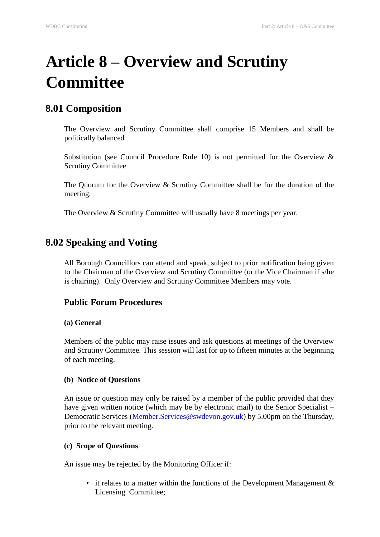# **Article 8 – Overview and Scrutiny Committee**

### **8.01 Composition**

The Overview and Scrutiny Committee shall comprise 15 Members and shall be politically balanced

Substitution (see Council Procedure Rule 10) is not permitted for the Overview  $\&$ Scrutiny Committee

The Quorum for the Overview & Scrutiny Committee shall be for the duration of the meeting.

The Overview & Scrutiny Committee will usually have 8 meetings per year.

## **8.02 Speaking and Voting**

All Borough Councillors can attend and speak, subject to prior notification being given to the Chairman of the Overview and Scrutiny Committee (or the Vice Chairman if s/he is chairing). Only Overview and Scrutiny Committee Members may vote.

#### **Public Forum Procedures**

#### **(a) General**

Members of the public may raise issues and ask questions at meetings of the Overview and Scrutiny Committee. This session will last for up to fifteen minutes at the beginning of each meeting.

#### **(b) Notice of Questions**

An issue or question may only be raised by a member of the public provided that they have given written notice (which may be by electronic mail) to the Senior Specialist – Democratic Services (Member.Services@swdevon.gov.uk) by 5.00pm on the Thursday, prior to the relevant meeting.

#### **(c) Scope of Questions**

An issue may be rejected by the Monitoring Officer if:

• it relates to a matter within the functions of the Development Management  $\&$ Licensing Committee;